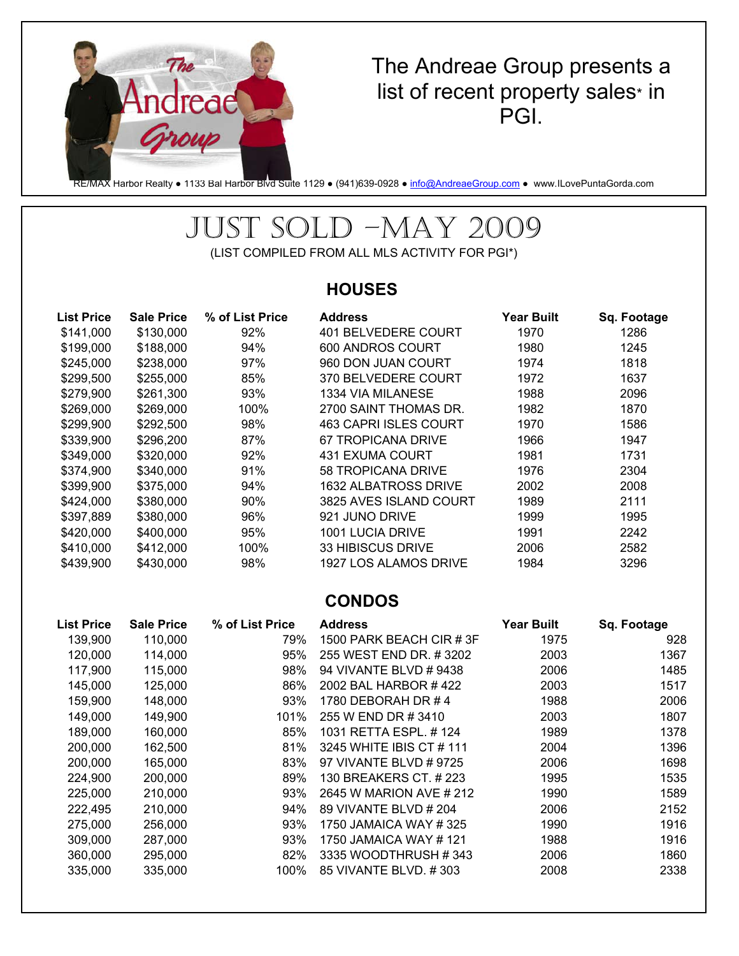

### The Andreae Group presents a list of recent property sales\* in PGI.

RE/MAX Harbor Realty • 1133 Bal Harbor Blvd Suite 1129 • (941)639-0928 • info@AndreaeGroup.com • www.ILovePuntaGorda.com

# JUST SOLD –MAY 2009

(LIST COMPILED FROM ALL MLS ACTIVITY FOR PGI\*)

#### **HOUSES**

| <b>List Price</b> | <b>Sale Price</b> | % of List Price | <b>Address</b>           | <b>Year Built</b> | Sq. Footage |
|-------------------|-------------------|-----------------|--------------------------|-------------------|-------------|
| \$141,000         | \$130,000         | 92%             | 401 BELVEDERE COURT      | 1970              | 1286        |
| \$199,000         | \$188,000         | 94%             | 600 ANDROS COURT         | 1980              | 1245        |
| \$245,000         | \$238,000         | 97%             | 960 DON JUAN COURT       | 1974              | 1818        |
| \$299,500         | \$255,000         | 85%             | 370 BELVEDERE COURT      | 1972              | 1637        |
| \$279,900         | \$261,300         | 93%             | 1334 VIA MILANESE        | 1988              | 2096        |
| \$269,000         | \$269,000         | 100%            | 2700 SAINT THOMAS DR.    | 1982              | 1870        |
| \$299,900         | \$292,500         | 98%             | 463 CAPRI ISLES COURT    | 1970              | 1586        |
| \$339,900         | \$296,200         | 87%             | 67 TROPICANA DRIVE       | 1966              | 1947        |
| \$349,000         | \$320,000         | 92%             | 431 EXUMA COURT          | 1981              | 1731        |
| \$374,900         | \$340,000         | 91%             | 58 TROPICANA DRIVE       | 1976              | 2304        |
| \$399,900         | \$375,000         | 94%             | 1632 ALBATROSS DRIVE     | 2002              | 2008        |
| \$424,000         | \$380,000         | 90%             | 3825 AVES ISLAND COURT   | 1989              | 2111        |
| \$397,889         | \$380,000         | 96%             | 921 JUNO DRIVE           | 1999              | 1995        |
| \$420,000         | \$400,000         | 95%             | 1001 LUCIA DRIVE         | 1991              | 2242        |
| \$410,000         | \$412,000         | 100%            | <b>33 HIBISCUS DRIVE</b> | 2006              | 2582        |
| \$439,900         | \$430,000         | 98%             | 1927 LOS ALAMOS DRIVE    | 1984              | 3296        |

#### **CONDOS**

| <b>List Price</b> | <b>Sale Price</b> | % of List Price | <b>Address</b>           | <b>Year Built</b> | Sq. Footage |
|-------------------|-------------------|-----------------|--------------------------|-------------------|-------------|
| 139,900           | 110,000           | 79%             | 1500 PARK BEACH CIR # 3F | 1975              | 928         |
| 120,000           | 114,000           | 95%             | 255 WEST END DR. #3202   | 2003              | 1367        |
| 117,900           | 115,000           | 98%             | 94 VIVANTE BLVD # 9438   | 2006              | 1485        |
| 145,000           | 125,000           | 86%             | 2002 BAL HARBOR #422     | 2003              | 1517        |
| 159,900           | 148,000           | 93%             | 1780 DEBORAH DR # 4      | 1988              | 2006        |
| 149,000           | 149,900           | 101%            | 255 W END DR # 3410      | 2003              | 1807        |
| 189,000           | 160,000           | 85%             | 1031 RETTA ESPL, #124    | 1989              | 1378        |
| 200,000           | 162,500           | 81%             | 3245 WHITE IBIS CT # 111 | 2004              | 1396        |
| 200,000           | 165,000           | 83%             | 97 VIVANTE BLVD # 9725   | 2006              | 1698        |
| 224,900           | 200,000           | 89%             | 130 BREAKERS CT. # 223   | 1995              | 1535        |
| 225,000           | 210,000           | 93%             | 2645 W MARION AVE # 212  | 1990              | 1589        |
| 222,495           | 210,000           | 94%             | 89 VIVANTE BLVD # 204    | 2006              | 2152        |
| 275,000           | 256,000           | 93%             | 1750 JAMAICA WAY # 325   | 1990              | 1916        |
| 309,000           | 287,000           | 93%             | 1750 JAMAICA WAY # 121   | 1988              | 1916        |
| 360,000           | 295,000           | 82%             | 3335 WOODTHRUSH # 343    | 2006              | 1860        |
| 335,000           | 335,000           | 100%            | 85 VIVANTE BLVD, #303    | 2008              | 2338        |